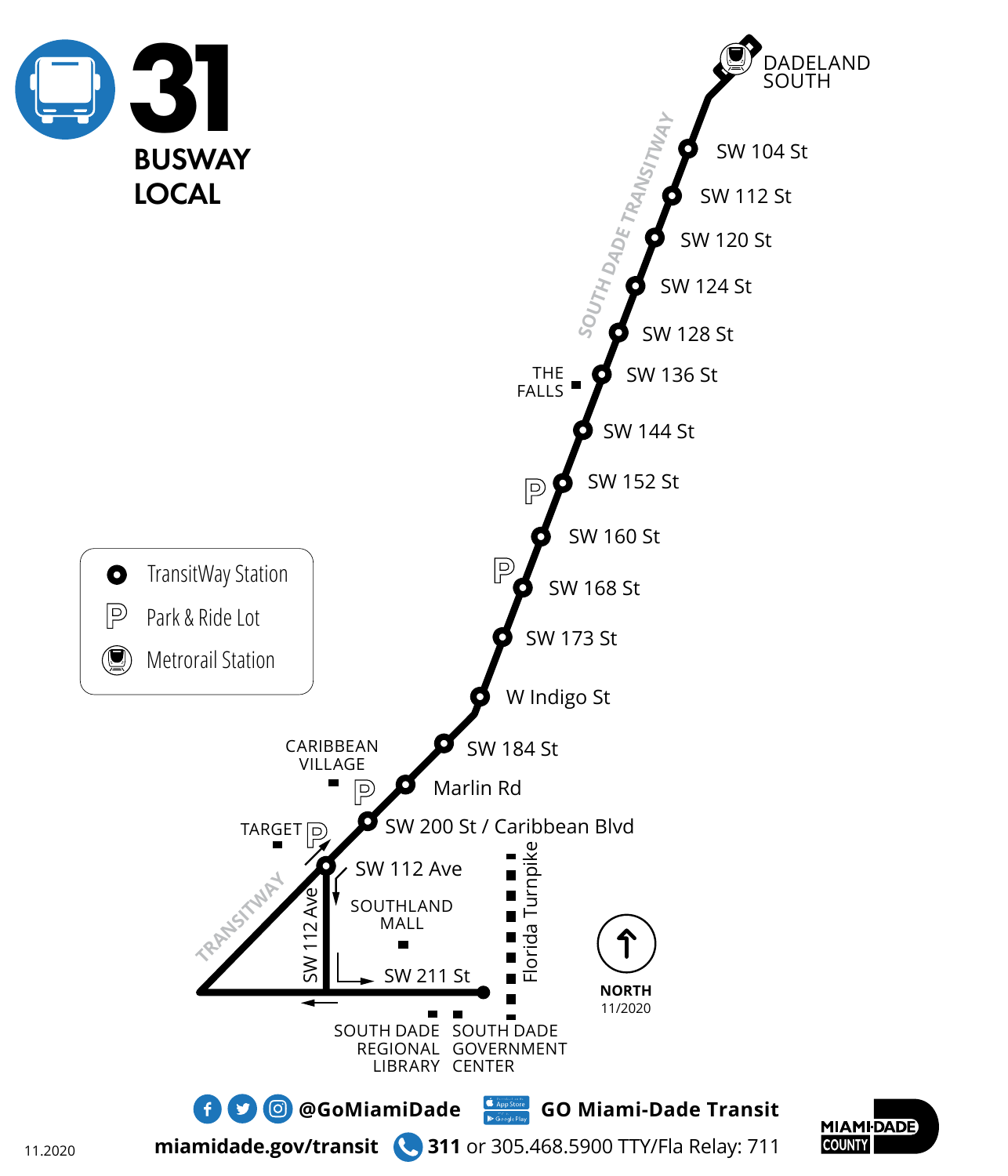

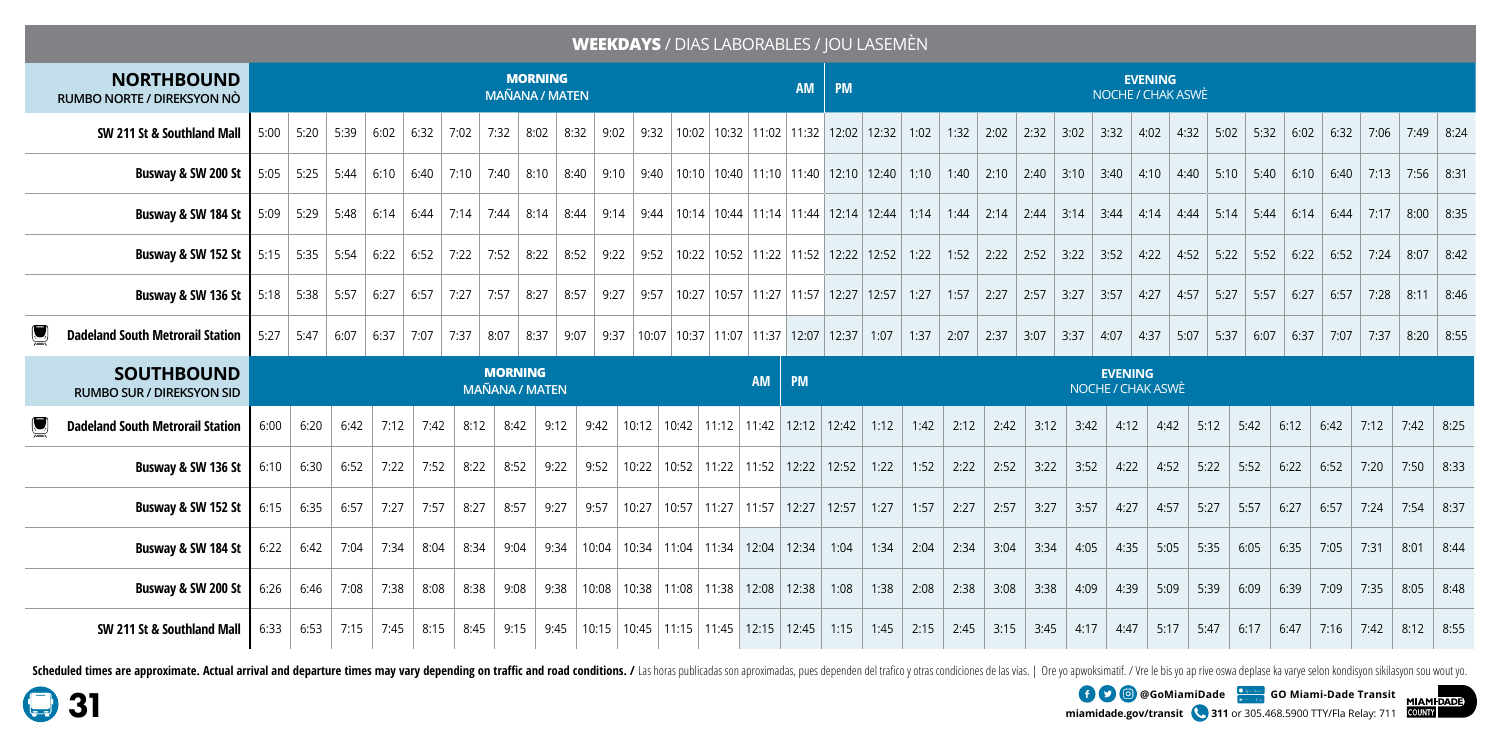## **WEEKDAYS** / DIAS LABORABLES / JOU LASEMÈN

| <b>NORTHBOUND</b><br>RUMBO NORTE / DIREKSYON NÒ                                                                                                                                                                                  | <b>MORNING</b><br><b>AM</b><br><b>MAÑANA / MATEN</b>                                                                                  |                                                                   |      |      |                           |      |      |                  |      |  |                                                                                                                                                                                                                              |  |  |                 | <b>EVENING</b><br><b>PM</b><br>NOCHE / CHAK ASWÈ |                                     |      |      |              |      |      |      |      |      |                      |      |             |              |              |             |      |
|----------------------------------------------------------------------------------------------------------------------------------------------------------------------------------------------------------------------------------|---------------------------------------------------------------------------------------------------------------------------------------|-------------------------------------------------------------------|------|------|---------------------------|------|------|------------------|------|--|------------------------------------------------------------------------------------------------------------------------------------------------------------------------------------------------------------------------------|--|--|-----------------|--------------------------------------------------|-------------------------------------|------|------|--------------|------|------|------|------|------|----------------------|------|-------------|--------------|--------------|-------------|------|
| SW 211 St & Southland Mall                                                                                                                                                                                                       | $5:00$ 5:20 5:39<br>  10:02   10:32   11:02   11:32   12:02   12:32  <br>6:02<br>6:32<br>7:02<br>7:32<br>8:02<br>8:32<br>9:02<br>9:32 |                                                                   |      |      |                           |      |      |                  |      |  |                                                                                                                                                                                                                              |  |  | 1:02            | 1:32                                             | 2:02                                | 2:32 | 3:02 | 3:32         | 4:02 | 4:32 | 5:02 | 5:32 | 6:02 | 6:32                 | 7:06 | $7:49$ 8:24 |              |              |             |      |
| Busway & SW 200 St                                                                                                                                                                                                               |                                                                                                                                       |                                                                   |      |      |                           |      |      |                  |      |  | 5:05   5:40   5:40   5:40   6:10   6:40   7:10   7:40   8:10   8:40   9:10   9:40   10:10   10:40   11:10   11:40   12:10   12:40   1:10   1:40   2:10   2:40   3:10   3:40   3:10   4:40   5:10   5:40   5:10   6:40   7:13 |  |  |                 |                                                  |                                     |      |      |              |      |      |      |      |      |                      |      |             |              |              |             |      |
| Busway & SW 184 St                                                                                                                                                                                                               |                                                                                                                                       |                                                                   |      |      |                           |      |      |                  |      |  |                                                                                                                                                                                                                              |  |  |                 |                                                  |                                     |      |      |              |      |      |      |      |      |                      |      |             |              |              | $8:00$ 8:35 |      |
| <b>Busway &amp; SW 152 St</b>   5:15   5:35   5:54   6:22   6:52   7:22   7:52   8:52   9:22   9:52   10:22   10:52   11:52   12:52   12:52   12:52   2:52   2:52   3:52   4:22   4:52   5:52   5:52   5:52   6:52   6:52   7:24 |                                                                                                                                       |                                                                   |      |      |                           |      |      |                  |      |  |                                                                                                                                                                                                                              |  |  |                 |                                                  |                                     |      |      |              |      |      |      |      |      |                      |      |             |              |              | $8:07$ 8:42 |      |
| <b>Busway &amp; SW 136 St</b>   5:18   5:38   5:57   6:27   6:57   7:27   7:57   8:27   8:57   9:57   10:27   10:57   11:27   11:57   12:27   12:57   1:27   1:57   2:27   2:27   2:57                                           |                                                                                                                                       |                                                                   |      |      |                           |      |      |                  |      |  |                                                                                                                                                                                                                              |  |  |                 |                                                  |                                     |      |      |              |      | 3:27 | 3:57 | 4:27 |      | $4:57$   5:27   5:57 |      | 6:27        | 6:57         | $\vert$ 7:28 | $8:11$ 8:46 |      |
| <b>Dadeland South Metrorail Station</b>                                                                                                                                                                                          |                                                                                                                                       | $5:27$ 5:47                                                       |      |      | 6:07   6:37   7:07   7:37 |      | 8:07 | 8:37             | 9:07 |  | 9:37   10:07   10:37   11:07   11:37   12:07   12:37   1:07   1:37   2:07                                                                                                                                                    |  |  |                 |                                                  |                                     |      |      | 2:37 $\vert$ | 3:07 | 3:37 | 4:07 | 4:37 | 5:07 | 5:37                 | 6:07 | 6:37        | $\vert$ 7:07 | 7:37         | $8:20$ 8:55 |      |
| <b>SOUTHBOUND</b>                                                                                                                                                                                                                |                                                                                                                                       | <b>MORNING</b><br><b>AM</b><br><b>PM</b><br><b>MAÑANA / MATEN</b> |      |      |                           |      |      |                  |      |  |                                                                                                                                                                                                                              |  |  |                 |                                                  | <b>EVENING</b><br>NOCHE / CHAK ASWÈ |      |      |              |      |      |      |      |      |                      |      |             |              |              |             |      |
| RUMBO SUR / DIREKSYON SID                                                                                                                                                                                                        |                                                                                                                                       |                                                                   |      |      |                           |      |      |                  |      |  |                                                                                                                                                                                                                              |  |  |                 |                                                  |                                     |      |      |              |      |      |      |      |      |                      |      |             |              |              |             |      |
| <b>Dadeland South Metrorail Station</b>                                                                                                                                                                                          | 6:00                                                                                                                                  | 6:20                                                              | 6:42 | 7:12 | 7:42                      | 8:12 | 8:42 | 9:12             | 9:42 |  | 10:12   10:42   11:12   11:42                                                                                                                                                                                                |  |  | $12:12$   12:42 |                                                  | 1:12                                | 1:42 | 2:12 | 2:42         | 3:12 | 3:42 | 4:12 |      | 4:42 | 5:12                 | 5:42 | 6:12        | 6:42         | 7:12         | 7:42        | 8:25 |
| Busway & SW 136 St                                                                                                                                                                                                               | 6:10                                                                                                                                  | 6:30                                                              | 6:52 | 7:22 | 7:52                      | 8:22 |      | $8:52$ 9:22      |      |  | $9:52$   10:22   10:52   11:22   11:52   12:22   12:52   1:22                                                                                                                                                                |  |  |                 |                                                  |                                     | 1:52 |      | $2:22$ 2:52  | 3:22 | 3:52 | 4:22 |      | 4:52 | 5:22                 | 5:52 | 6:22        | 6:52         | 7:20         | 7:50        | 8:33 |
| Busway & SW 152 St                                                                                                                                                                                                               | 6:15                                                                                                                                  | 6:35                                                              | 6:57 | 7:27 | 7:57                      | 8:27 | 8:57 | 9:27             | 9:57 |  | 10:27   10:57   11:27   11:57   12:27   12:57   1:27                                                                                                                                                                         |  |  |                 |                                                  |                                     | 1:57 | 2:27 | 2:57         | 3:27 | 3:57 | 4:27 |      | 4:57 | 5:27                 | 5:57 | 6:27        | 6:57         | 7:24         | 7:54        | 8:37 |
| Busway & SW 184 St                                                                                                                                                                                                               | 6:22                                                                                                                                  | 6:42                                                              | 7:04 | 7:34 | 8:04                      | 8:34 | 9:04 | 9:34             |      |  | 10:04   10:34   11:04   11:34   12:04                                                                                                                                                                                        |  |  | 12:34           | 1:04                                             | 1:34                                | 2:04 | 2:34 | 3:04         | 3:34 | 4:05 | 4:35 | 5:05 |      | 5:35                 | 6:05 | 6:35        | 7:05         | 7:31         | 8:01        | 8:44 |
| Busway & SW 200 St                                                                                                                                                                                                               | 6:26                                                                                                                                  | 6:46                                                              | 7:08 | 7:38 | 8:08                      |      |      | $8:38$ 9:08 9:38 |      |  | $10:08$   10:38   11:08   11:38   12:08   12:38                                                                                                                                                                              |  |  |                 | 1:08                                             | $1:38$ 2:08                         |      | 2:38 | 3:08         | 3:38 | 4:09 | 4:39 |      | 5:09 | 5:39                 | 6:09 | 6:39        | 7:09         | 7:35         | 8:05        | 8:48 |

Scheduled times are approximate. Actual arrival and departure times may vary depending on traffic and road conditions. / Las horas publicadas son aproximadas, pues dependen del trafico y otras condiciones de las vias. | Or

miamidade.gov/transit 311 or 305.468.5900 TTY/Fla Relay: 711